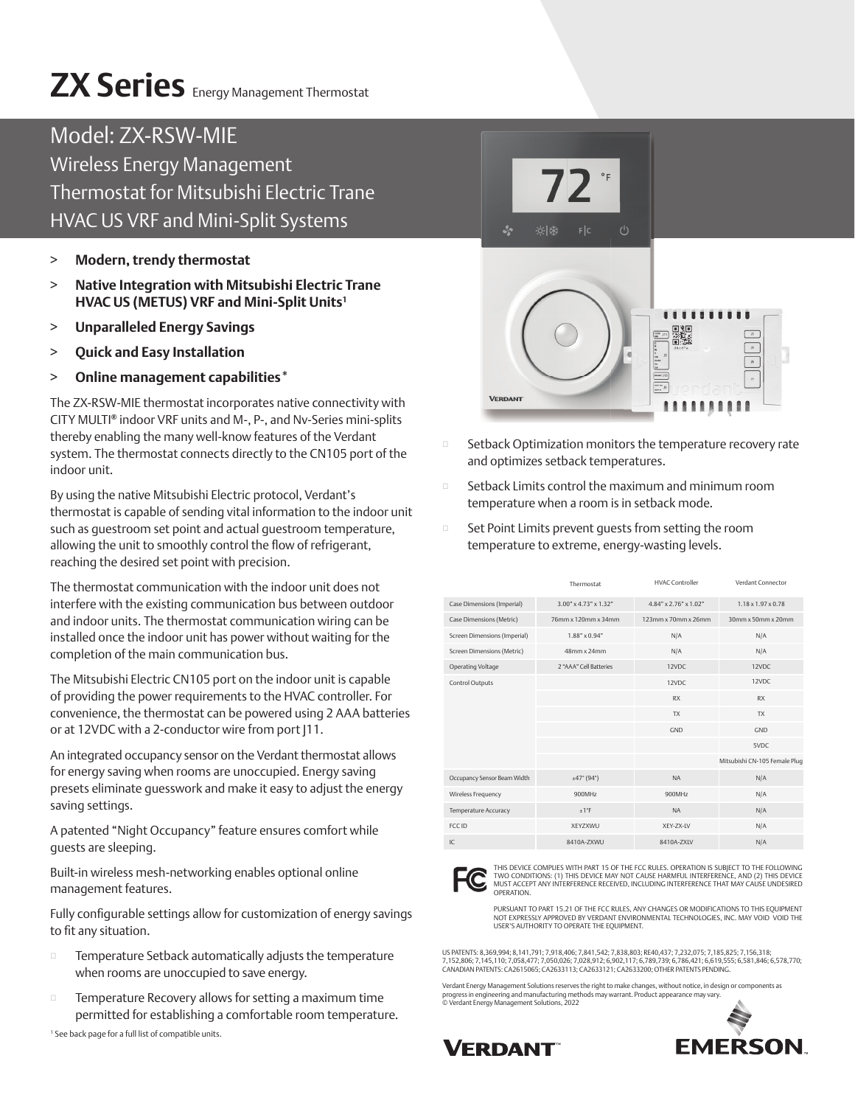# **ZX Series** Energy Management Thermostat

### Model: ZX-RSW-MIE Wireless Energy Management Thermostat for Mitsubishi Electric Trane HVAC US VRF and Mini-Split Systems

- > **Modern, trendy thermostat**
- > **Native Integration with Mitsubishi Electric Trane HVAC US (METUS) VRF and Mini-Split Units1**
- > **Unparalleled Energy Savings**
- > **Quick and Easy Installation**
- > **Online management capabilities\***

The ZX-RSW-MIE thermostat incorporates native connectivity with CITY MULTI**®** indoor VRF units and M-, P-, and Nv-Series mini-splits thereby enabling the many well-know features of the Verdant system. The thermostat connects directly to the CN105 port of the indoor unit.

By using the native Mitsubishi Electric protocol, Verdant's thermostat is capable of sending vital information to the indoor unit such as guestroom set point and actual guestroom temperature, allowing the unit to smoothly control the flow of refrigerant, reaching the desired set point with precision.

The thermostat communication with the indoor unit does not interfere with the existing communication bus between outdoor and indoor units. The thermostat communication wiring can be installed once the indoor unit has power without waiting for the completion of the main communication bus.

The Mitsubishi Electric CN105 port on the indoor unit is capable of providing the power requirements to the HVAC controller. For convenience, the thermostat can be powered using 2 AAA batteries or at 12VDC with a 2-conductor wire from port J11.

An integrated occupancy sensor on the Verdant thermostat allows for energy saving when rooms are unoccupied. Energy saving presets eliminate guesswork and make it easy to adjust the energy saving settings.

A patented "Night Occupancy" feature ensures comfort while guests are sleeping.

Built-in wireless mesh-networking enables optional online management features.

Fully configurable settings allow for customization of energy savings to fit any situation.

- $\square$  Temperature Setback automatically adjusts the temperature when rooms are unoccupied to save energy.
- **D** Temperature Recovery allows for setting a maximum time permitted for establishing a comfortable room temperature.

1 See back page for a full list of compatible units.



- Setback Optimization monitors the temperature recovery rate and optimizes setback temperatures.
- **EXECUTE:** Setback Limits control the maximum and minimum room temperature when a room is in setback mode.
- □ Set Point Limits prevent guests from setting the room temperature to extreme, energy-wasting levels.

|                              | Thermostat                     | <b>HVAC Controller</b>               | Verdant Connector              |
|------------------------------|--------------------------------|--------------------------------------|--------------------------------|
| Case Dimensions (Imperial)   | $3.00^{\circ}$ x 4.73" x 1.32" | $4.84'' \times 2.76'' \times 1.02''$ | $1.18 \times 1.97 \times 0.78$ |
| Case Dimensions (Metric)     | 76mm x 120mm x 34mm            | 123mm x 70mm x 26mm                  | $30$ mm x $50$ mm x $20$ mm    |
| Screen Dimensions (Imperial) | $1.88" \times 0.94"$           | N/A                                  | N/A                            |
| Screen Dimensions (Metric)   | 48mm x 24mm                    | N/A                                  | N/A                            |
| Operating Voltage            | 2 "AAA" Cell Batteries         | 12VDC                                | 12VDC                          |
| Control Outputs              |                                | 12VDC                                | 12VDC                          |
|                              |                                | <b>RX</b>                            | <b>RX</b>                      |
|                              |                                | <b>TX</b>                            | <b>TX</b>                      |
|                              |                                | GND                                  | GND                            |
|                              |                                |                                      | 5VDC                           |
|                              |                                |                                      | Mitsubishi CN-105 Female Plug  |
| Occupancy Sensor Beam Width  | ±47°(94°)                      | <b>NA</b>                            | N/A                            |
| Wireless Frequency           | 900MHz                         | 900MHz                               | N/A                            |
| Temperature Accuracy         | ±1°F                           | <b>NA</b>                            | N/A                            |
| FCC ID                       | XEYZXWU                        | XEY-ZX-LV                            | N/A                            |
| IC                           | 8410A-ZXWU                     | 8410A-ZXLV                           | N/A                            |
|                              |                                |                                      |                                |



THIS DEVICE COMPLIES WITH PART 15 OF THE FCC RULES. OPERATION IS SUBJECT TO THE FOLLOWING TWO CONDITIONS: (1) THIS DEVICE MAY NOT CAUSE HARMFUL INTERFERENCE, AND (2) THIS DEVICE<br>MUST ACCEPT ANY INTERFERENCE RECEIVED, INCLUDING INTERFERENCE THAT MAY CAUSE UNDESIRED<br>OPERATION.

PURSUANT TO PART 15.21 OF THE FCC RULES, ANY CHANGES OR MODIFICATIONS TO THIS EQUIPMENT<br>NOT EXPRESSLY APPROVED BY VERDANT ENVIRONMENTAL TECHNOLOGIES, INC. MAY VOID VOID THE<br>USER'S AUTHORITY TO OPERATE THE EQUIPMENT.

US PATENTS: 8,369,994; 8,141,791; 7,918,406; 7,841,542; 7,838,803; RE40,437; 7,232,075; 7,185,825; 7,156,318; 7,152,806; 7,145,110; 7,058,477; 7,050,026; 7,028,912; 6,902,117; 6,789,739; 6,786,421; 6,619,555; 6,581,846; 6,578,770; CANADIAN PATENTS: CA2615065; CA2633113; CA2633121; CA2633200; OTHER PATENTS PENDING.

Verdant Energy Management Solutions reserves the right to make changes, without notice, in design or components as<br>progress in engineering and manufacturing methods may warrant. Product appearance may vary.<br>© Verdant Energ